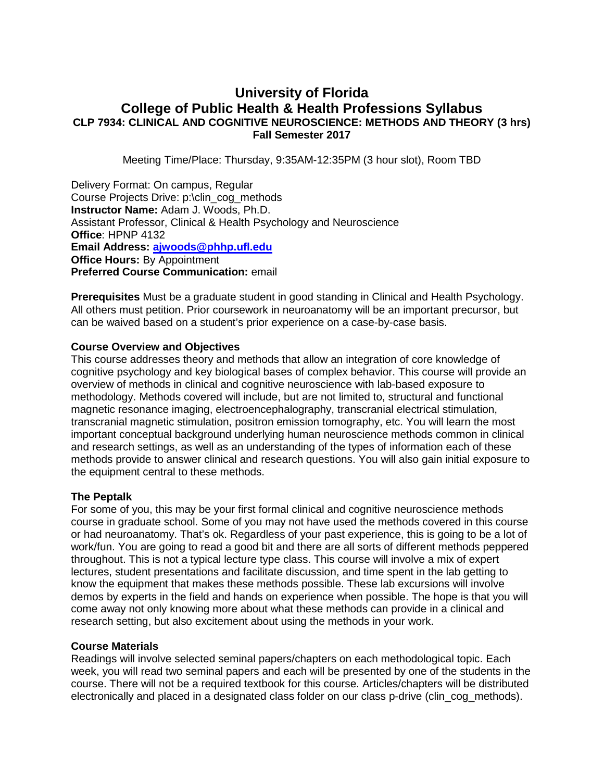# **University of Florida College of Public Health & Health Professions Syllabus CLP 7934: CLINICAL AND COGNITIVE NEUROSCIENCE: METHODS AND THEORY (3 hrs) Fall Semester 2017**

Meeting Time/Place: Thursday, 9:35AM-12:35PM (3 hour slot), Room TBD

Delivery Format: On campus, Regular Course Projects Drive: p:\clin\_cog\_methods **Instructor Name:** Adam J. Woods, Ph.D. Assistant Professor, Clinical & Health Psychology and Neuroscience **Office**: HPNP 4132 **Email Address: [ajwoods@phhp.ufl.edu](mailto:ajwoods@phhp.ufl.edu) Office Hours: By Appointment Preferred Course Communication:** email

**Prerequisites** Must be a graduate student in good standing in Clinical and Health Psychology. All others must petition. Prior coursework in neuroanatomy will be an important precursor, but can be waived based on a student's prior experience on a case-by-case basis.

### **Course Overview and Objectives**

This course addresses theory and methods that allow an integration of core knowledge of cognitive psychology and key biological bases of complex behavior. This course will provide an overview of methods in clinical and cognitive neuroscience with lab-based exposure to methodology. Methods covered will include, but are not limited to, structural and functional magnetic resonance imaging, electroencephalography, transcranial electrical stimulation, transcranial magnetic stimulation, positron emission tomography, etc. You will learn the most important conceptual background underlying human neuroscience methods common in clinical and research settings, as well as an understanding of the types of information each of these methods provide to answer clinical and research questions. You will also gain initial exposure to the equipment central to these methods.

# **The Peptalk**

For some of you, this may be your first formal clinical and cognitive neuroscience methods course in graduate school. Some of you may not have used the methods covered in this course or had neuroanatomy. That's ok. Regardless of your past experience, this is going to be a lot of work/fun. You are going to read a good bit and there are all sorts of different methods peppered throughout. This is not a typical lecture type class. This course will involve a mix of expert lectures, student presentations and facilitate discussion, and time spent in the lab getting to know the equipment that makes these methods possible. These lab excursions will involve demos by experts in the field and hands on experience when possible. The hope is that you will come away not only knowing more about what these methods can provide in a clinical and research setting, but also excitement about using the methods in your work.

### **Course Materials**

Readings will involve selected seminal papers/chapters on each methodological topic. Each week, you will read two seminal papers and each will be presented by one of the students in the course. There will not be a required textbook for this course. Articles/chapters will be distributed electronically and placed in a designated class folder on our class p-drive (clin\_cog\_methods).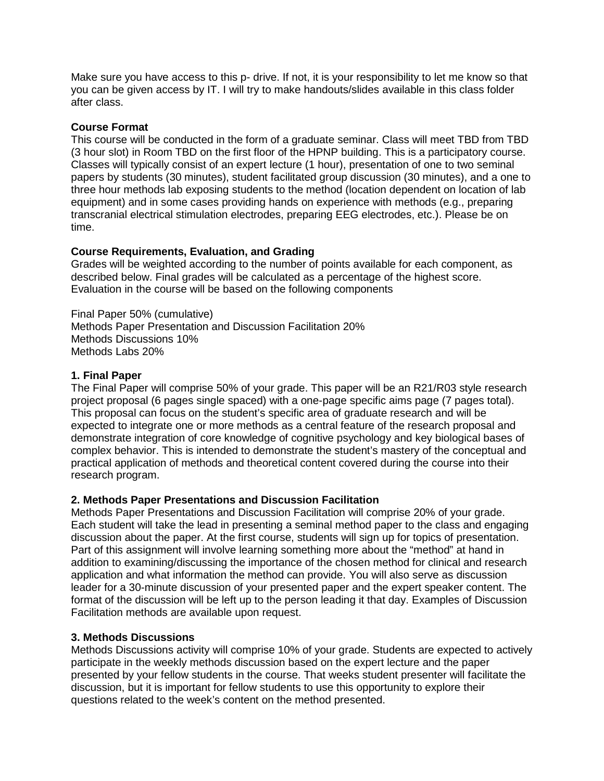Make sure you have access to this p- drive. If not, it is your responsibility to let me know so that you can be given access by IT. I will try to make handouts/slides available in this class folder after class.

## **Course Format**

This course will be conducted in the form of a graduate seminar. Class will meet TBD from TBD (3 hour slot) in Room TBD on the first floor of the HPNP building. This is a participatory course. Classes will typically consist of an expert lecture (1 hour), presentation of one to two seminal papers by students (30 minutes), student facilitated group discussion (30 minutes), and a one to three hour methods lab exposing students to the method (location dependent on location of lab equipment) and in some cases providing hands on experience with methods (e.g., preparing transcranial electrical stimulation electrodes, preparing EEG electrodes, etc.). Please be on time.

# **Course Requirements, Evaluation, and Grading**

Grades will be weighted according to the number of points available for each component, as described below. Final grades will be calculated as a percentage of the highest score. Evaluation in the course will be based on the following components

Final Paper 50% (cumulative) Methods Paper Presentation and Discussion Facilitation 20% Methods Discussions 10% Methods Labs 20%

## **1. Final Paper**

The Final Paper will comprise 50% of your grade. This paper will be an R21/R03 style research project proposal (6 pages single spaced) with a one-page specific aims page (7 pages total). This proposal can focus on the student's specific area of graduate research and will be expected to integrate one or more methods as a central feature of the research proposal and demonstrate integration of core knowledge of cognitive psychology and key biological bases of complex behavior. This is intended to demonstrate the student's mastery of the conceptual and practical application of methods and theoretical content covered during the course into their research program.

# **2. Methods Paper Presentations and Discussion Facilitation**

Methods Paper Presentations and Discussion Facilitation will comprise 20% of your grade. Each student will take the lead in presenting a seminal method paper to the class and engaging discussion about the paper. At the first course, students will sign up for topics of presentation. Part of this assignment will involve learning something more about the "method" at hand in addition to examining/discussing the importance of the chosen method for clinical and research application and what information the method can provide. You will also serve as discussion leader for a 30-minute discussion of your presented paper and the expert speaker content. The format of the discussion will be left up to the person leading it that day. Examples of Discussion Facilitation methods are available upon request.

### **3. Methods Discussions**

Methods Discussions activity will comprise 10% of your grade. Students are expected to actively participate in the weekly methods discussion based on the expert lecture and the paper presented by your fellow students in the course. That weeks student presenter will facilitate the discussion, but it is important for fellow students to use this opportunity to explore their questions related to the week's content on the method presented.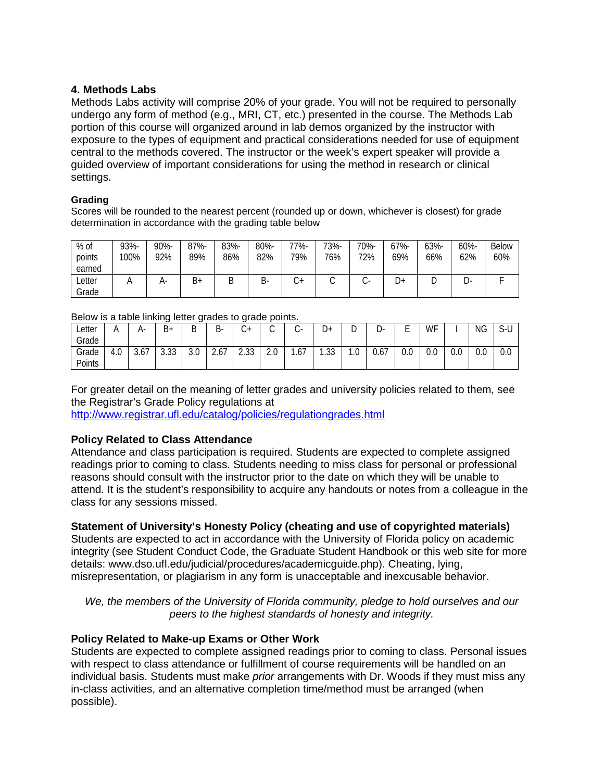# **4. Methods Labs**

Methods Labs activity will comprise 20% of your grade. You will not be required to personally undergo any form of method (e.g., MRI, CT, etc.) presented in the course. The Methods Lab portion of this course will organized around in lab demos organized by the instructor with exposure to the types of equipment and practical considerations needed for use of equipment central to the methods covered. The instructor or the week's expert speaker will provide a guided overview of important considerations for using the method in research or clinical settings.

### **Grading**

Scores will be rounded to the nearest percent (rounded up or down, whichever is closest) for grade determination in accordance with the grading table below

| % of<br>points<br>earned | 93%-<br>100% | 90%-<br>92% | 87%-<br>89% | 83%-<br>86% | 80%-<br>82% | -7%<br>79% | 73%-<br>76% | 70%-<br>72% | 67%-<br>69% | 63%-<br>66% | 60%-<br>62% | <b>Below</b><br>60% |
|--------------------------|--------------|-------------|-------------|-------------|-------------|------------|-------------|-------------|-------------|-------------|-------------|---------------------|
| _etter<br>Grade          |              | $H^-$       | B+          | D<br>◡      | B-          | ◡          | ⌒<br>◡      | $\sim$      | ∔ل          | ◡           | - س         |                     |

#### Below is a table linking letter grades to grade points.

| <u>DUDW ID U IUDIO III INITIA TONOT GRUUD ID GRUUD DOITIO.</u> |     |      |                             |     |      |            |     |              |                |     |      |     |     |     |     |                 |
|----------------------------------------------------------------|-----|------|-----------------------------|-----|------|------------|-----|--------------|----------------|-----|------|-----|-----|-----|-----|-----------------|
| ∟etter                                                         |     | А-   | В+                          | י   | B-   | ≁ب         |     | $\checkmark$ | +ل             | ັ   | -ں   | –   | WF  |     | NG  | $\sim$ 1<br>S-U |
| Grade                                                          |     |      |                             |     |      |            |     |              |                |     |      |     |     |     |     |                 |
| Grade                                                          | 4.0 | 3.67 | <b>S S S</b><br><b>J.JJ</b> | 3.0 | 2.67 | ว วว<br>ںے | 2.0 | .67          | ົດດ<br>ں ں ، ا | 1.0 | 0.67 | 0.0 | 0.0 | 0.0 | 0.0 | 0.0             |
| <sup>D</sup> oints                                             |     |      |                             |     |      |            |     |              |                |     |      |     |     |     |     |                 |

For greater detail on the meaning of letter grades and university policies related to them, see the Registrar's Grade Policy regulations at

<http://www.registrar.ufl.edu/catalog/policies/regulationgrades.html>

# **Policy Related to Class Attendance**

Attendance and class participation is required. Students are expected to complete assigned readings prior to coming to class. Students needing to miss class for personal or professional reasons should consult with the instructor prior to the date on which they will be unable to attend. It is the student's responsibility to acquire any handouts or notes from a colleague in the class for any sessions missed.

# **Statement of University's Honesty Policy (cheating and use of copyrighted materials)**

Students are expected to act in accordance with the University of Florida policy on academic integrity (see Student Conduct Code, the Graduate Student Handbook or this web site for more details: www.dso.ufl.edu/judicial/procedures/academicguide.php). Cheating, lying, misrepresentation, or plagiarism in any form is unacceptable and inexcusable behavior.

*We, the members of the University of Florida community, pledge to hold ourselves and our peers to the highest standards of honesty and integrity.*

# **Policy Related to Make-up Exams or Other Work**

Students are expected to complete assigned readings prior to coming to class. Personal issues with respect to class attendance or fulfillment of course requirements will be handled on an individual basis. Students must make *prior* arrangements with Dr. Woods if they must miss any in-class activities, and an alternative completion time/method must be arranged (when possible).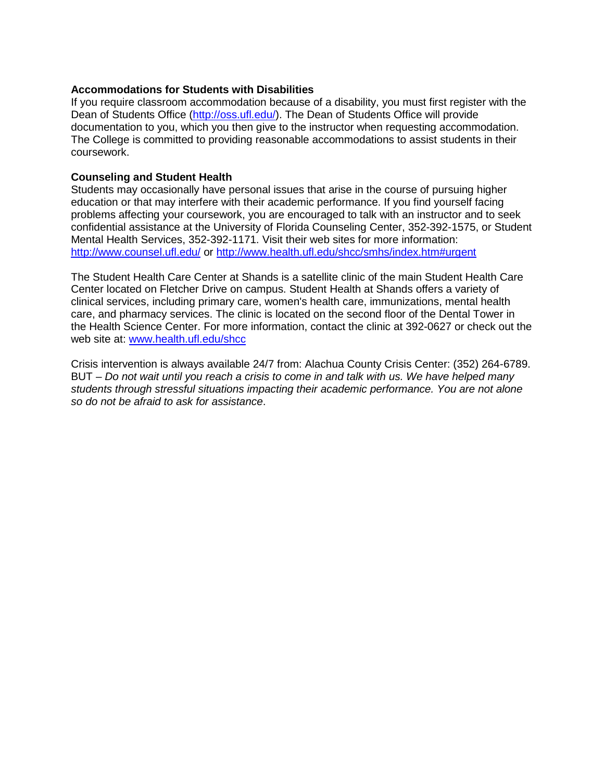### **Accommodations for Students with Disabilities**

If you require classroom accommodation because of a disability, you must first register with the Dean of Students Office [\(http://oss.ufl.edu/\)](http://oss.ufl.edu/). The Dean of Students Office will provide documentation to you, which you then give to the instructor when requesting accommodation. The College is committed to providing reasonable accommodations to assist students in their coursework.

# **Counseling and Student Health**

Students may occasionally have personal issues that arise in the course of pursuing higher education or that may interfere with their academic performance. If you find yourself facing problems affecting your coursework, you are encouraged to talk with an instructor and to seek confidential assistance at the University of Florida Counseling Center, 352-392-1575, or Student Mental Health Services, 352-392-1171. Visit their web sites for more information: <http://www.counsel.ufl.edu/> or<http://www.health.ufl.edu/shcc/smhs/index.htm#urgent>

The Student Health Care Center at Shands is a satellite clinic of the main Student Health Care Center located on Fletcher Drive on campus. Student Health at Shands offers a variety of clinical services, including primary care, women's health care, immunizations, mental health care, and pharmacy services. The clinic is located on the second floor of the Dental Tower in the Health Science Center. For more information, contact the clinic at 392-0627 or check out the web site at: [www.health.ufl.edu/shcc](http://www.health.ufl.edu/shcc)

Crisis intervention is always available 24/7 from: Alachua County Crisis Center: (352) 264-6789. BUT – *Do not wait until you reach a crisis to come in and talk with us. We have helped many students through stressful situations impacting their academic performance. You are not alone so do not be afraid to ask for assistance*.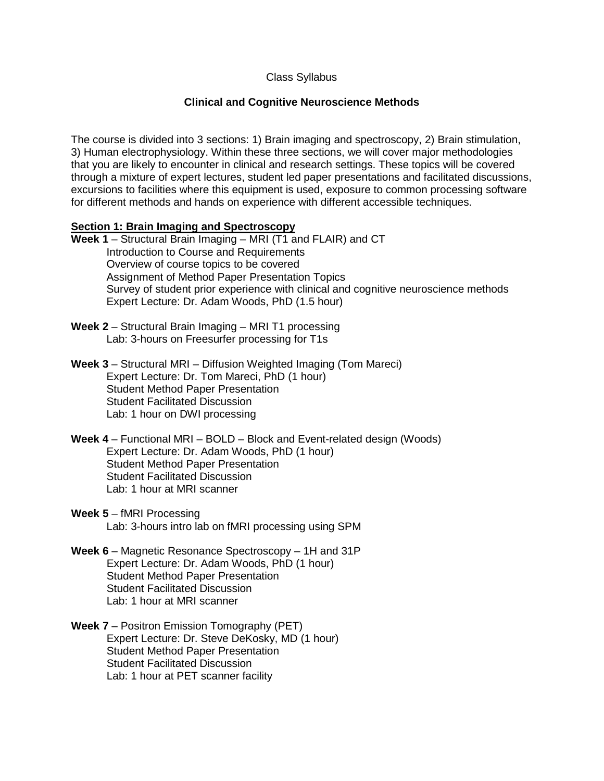# Class Syllabus

## **Clinical and Cognitive Neuroscience Methods**

The course is divided into 3 sections: 1) Brain imaging and spectroscopy, 2) Brain stimulation, 3) Human electrophysiology. Within these three sections, we will cover major methodologies that you are likely to encounter in clinical and research settings. These topics will be covered through a mixture of expert lectures, student led paper presentations and facilitated discussions, excursions to facilities where this equipment is used, exposure to common processing software for different methods and hands on experience with different accessible techniques.

### **Section 1: Brain Imaging and Spectroscopy**

- **Week 1** Structural Brain Imaging MRI (T1 and FLAIR) and CT Introduction to Course and Requirements Overview of course topics to be covered Assignment of Method Paper Presentation Topics Survey of student prior experience with clinical and cognitive neuroscience methods Expert Lecture: Dr. Adam Woods, PhD (1.5 hour)
- **Week 2** Structural Brain Imaging MRI T1 processing Lab: 3-hours on Freesurfer processing for T1s

**Week 3** – Structural MRI – Diffusion Weighted Imaging (Tom Mareci) Expert Lecture: Dr. Tom Mareci, PhD (1 hour) Student Method Paper Presentation Student Facilitated Discussion Lab: 1 hour on DWI processing

- **Week 4** Functional MRI BOLD Block and Event-related design (Woods) Expert Lecture: Dr. Adam Woods, PhD (1 hour) Student Method Paper Presentation Student Facilitated Discussion Lab: 1 hour at MRI scanner
- **Week 5** fMRI Processing Lab: 3-hours intro lab on fMRI processing using SPM
- **Week 6** Magnetic Resonance Spectroscopy 1H and 31P Expert Lecture: Dr. Adam Woods, PhD (1 hour) Student Method Paper Presentation Student Facilitated Discussion Lab: 1 hour at MRI scanner
- **Week 7** Positron Emission Tomography (PET) Expert Lecture: Dr. Steve DeKosky, MD (1 hour) Student Method Paper Presentation Student Facilitated Discussion Lab: 1 hour at PET scanner facility